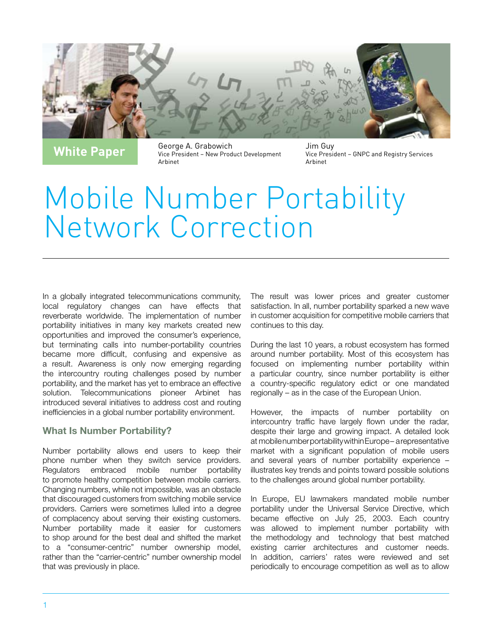

**White Paper** George A. Grabowich Vice President – New Product Development Arbinet

Jim Guy Vice President – GNPC and Registry Services Arbinet

# Mobile Number Portability Network Correction

In a globally integrated telecommunications community, local regulatory changes can have effects that reverberate worldwide. The implementation of number portability initiatives in many key markets created new opportunities and improved the consumer's experience, but terminating calls into number-portability countries became more difficult, confusing and expensive as a result. Awareness is only now emerging regarding the intercountry routing challenges posed by number portability, and the market has yet to embrace an effective solution. Telecommunications pioneer Arbinet has introduced several initiatives to address cost and routing inefficiencies in a global number portability environment.

# What Is Number Portability?

Number portability allows end users to keep their phone number when they switch service providers. Regulators embraced mobile number portability to promote healthy competition between mobile carriers. Changing numbers, while not impossible, was an obstacle that discouraged customers from switching mobile service providers. Carriers were sometimes lulled into a degree of complacency about serving their existing customers. Number portability made it easier for customers to shop around for the best deal and shifted the market to a "consumer-centric" number ownership model, rather than the "carrier-centric" number ownership model that was previously in place.

The result was lower prices and greater customer satisfaction. In all, number portability sparked a new wave in customer acquisition for competitive mobile carriers that continues to this day.

During the last 10 years, a robust ecosystem has formed around number portability. Most of this ecosystem has focused on implementing number portability within a particular country, since number portability is either a country-specific regulatory edict or one mandated regionally – as in the case of the European Union.

However, the impacts of number portability on intercountry traffic have largely flown under the radar, despite their large and growing impact. A detailed look at mobile number portability within Europe – a representative market with a significant population of mobile users and several years of number portability experience – illustrates key trends and points toward possible solutions to the challenges around global number portability.

In Europe, EU lawmakers mandated mobile number portability under the Universal Service Directive, which became effective on July 25, 2003. Each country was allowed to implement number portability with the methodology and technology that best matched existing carrier architectures and customer needs. In addition, carriers' rates were reviewed and set periodically to encourage competition as well as to allow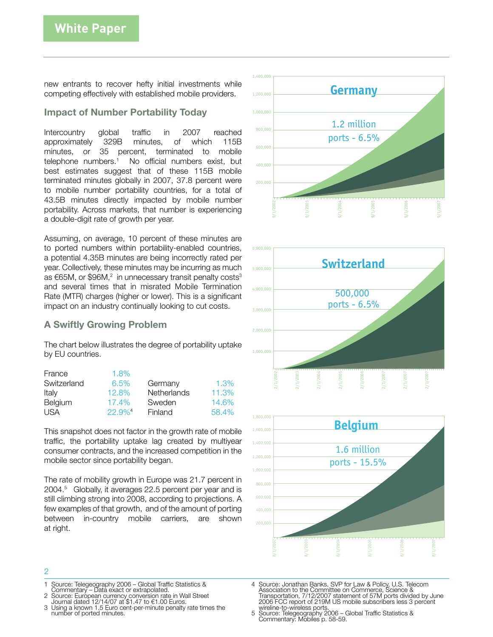new entrants to recover hefty initial investments while competing effectively with established mobile providers.

## Impact of Number Portability Today

Intercountry global traffic in 2007 reached approximately 329B minutes, of which 115B minutes, or 35 percent, terminated to mobile telephone numbers.<sup>1</sup> No official numbers exist, but best estimates suggest that of these 115B mobile terminated minutes globally in 2007, 37.8 percent were to mobile number portability countries, for a total of 43.5B minutes directly impacted by mobile number portability. Across markets, that number is experiencing a double-digit rate of growth per year.

Assuming, on average, 10 percent of these minutes are to ported numbers within portability-enabled countries, a potential 4.35B minutes are being incorrectly rated per year. Collectively, these minutes may be incurring as much as €65M, or \$96M, $^2$  in unnecessary transit penalty costs $^3$ and several times that in misrated Mobile Termination Rate (MTR) charges (higher or lower). This is a significant impact on an industry continually looking to cut costs.

# A Swiftly Growing Problem

The chart below illustrates the degree of portability uptake by EU countries.

| France      | 1.8%                 |                    |       |
|-------------|----------------------|--------------------|-------|
| Switzerland | 6.5%                 | Germany            | 1.3%  |
| Italy       | 12.8%                | <b>Netherlands</b> | 11.3% |
| Belgium     | 17.4%                | Sweden             | 14.6% |
| <b>USA</b>  | $22.9%$ <sup>4</sup> | Finland            | 58.4% |

This snapshot does not factor in the growth rate of mobile traffic, the portability uptake lag created by multiyear consumer contracts, and the increased competition in the mobile sector since portability began.

The rate of mobility growth in Europe was 21.7 percent in 2004.5 Globally, it averages 22.5 percent per year and is still climbing strong into 2008, according to projections. A few examples of that growth, and of the amount of porting between in-country mobile carriers, are shown at right.







#### $\overline{O}$

- 1 Source: Telegeography 2006 Global Traffic Statistics & Commentary Data exact or extrapolated.
- 
- <sup>2</sup> Source: European currency conversion rate in Wall Street Journal dated 12/14/07 at \$1.47 to €1.00 Euros.
- 3 Using a known 1.5 Euro cent-per-minute penalty rate times the number of ported minutes.
- 4 Source: Jonathan Banks, SVP for Law & Policy, U.S. Telecom<br>Association to the Committee on Commerce, Science &<br>Transportation, 7/12/2007 statement of 57M ports divided by June<br>2006 FCC report of 219M US mobile subscriber
- wireline-to-wireless ports. <sup>5</sup> Source: Telegeography 2006 Global Traffic Statistics & Commentary: Mobiles p. 58-59.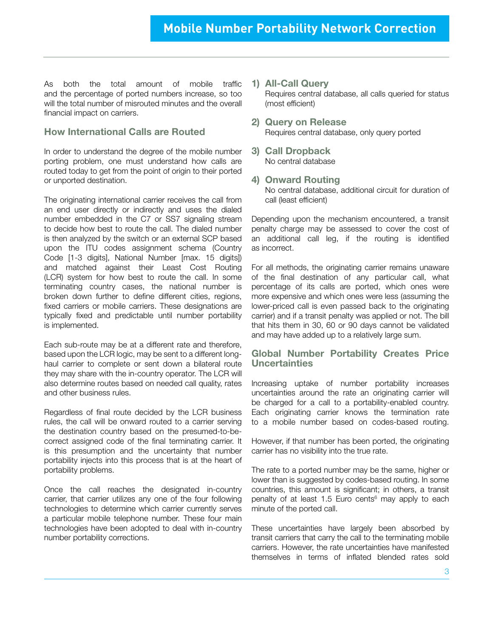As both the total amount of mobile traffic and the percentage of ported numbers increase, so too will the total number of misrouted minutes and the overall financial impact on carriers.

## How International Calls are Routed

In order to understand the degree of the mobile number porting problem, one must understand how calls are routed today to get from the point of origin to their ported or unported destination.

The originating international carrier receives the call from an end user directly or indirectly and uses the dialed number embedded in the C7 or SS7 signaling stream to decide how best to route the call. The dialed number is then analyzed by the switch or an external SCP based upon the ITU codes assignment schema (Country Code [1-3 digits], National Number [max. 15 digits]) and matched against their Least Cost Routing (LCR) system for how best to route the call. In some terminating country cases, the national number is broken down further to define different cities, regions, fixed carriers or mobile carriers. These designations are typically fixed and predictable until number portability is implemented.

Each sub-route may be at a different rate and therefore, based upon the LCR logic, may be sent to a different longhaul carrier to complete or sent down a bilateral route they may share with the in-country operator. The LCR will also determine routes based on needed call quality, rates and other business rules.

Regardless of final route decided by the LCR business rules, the call will be onward routed to a carrier serving the destination country based on the presumed-to-becorrect assigned code of the final terminating carrier. It is this presumption and the uncertainty that number portability injects into this process that is at the heart of portability problems.

Once the call reaches the designated in-country carrier, that carrier utilizes any one of the four following technologies to determine which carrier currently serves a particular mobile telephone number. These four main technologies have been adopted to deal with in-country number portability corrections.

- 1) All-Call Query Requires central database, all calls queried for status (most efficient)
- 2) Query on Release Requires central database, only query ported
- 3) Call Dropback No central database
- 4) Onward Routing No central database, additional circuit for duration of call (least efficient)

Depending upon the mechanism encountered, a transit penalty charge may be assessed to cover the cost of an additional call leg, if the routing is identified as incorrect.

For all methods, the originating carrier remains unaware of the final destination of any particular call, what percentage of its calls are ported, which ones were more expensive and which ones were less (assuming the lower-priced call is even passed back to the originating carrier) and if a transit penalty was applied or not. The bill that hits them in 30, 60 or 90 days cannot be validated and may have added up to a relatively large sum.

### Global Number Portability Creates Price **Uncertainties**

Increasing uptake of number portability increases uncertainties around the rate an originating carrier will be charged for a call to a portability-enabled country. Each originating carrier knows the termination rate to a mobile number based on codes-based routing.

However, if that number has been ported, the originating carrier has no visibility into the true rate.

The rate to a ported number may be the same, higher or lower than is suggested by codes-based routing. In some countries, this amount is significant; in others, a transit penalty of at least 1.5 Euro cents<sup>6</sup> may apply to each minute of the ported call.

These uncertainties have largely been absorbed by transit carriers that carry the call to the terminating mobile carriers. However, the rate uncertainties have manifested themselves in terms of inflated blended rates sold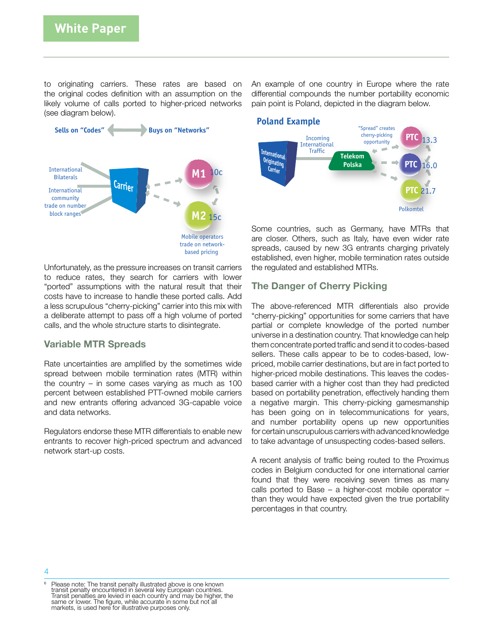to originating carriers. These rates are based on the original codes definition with an assumption on the likely volume of calls ported to higher-priced networks (see diagram below).



Unfortunately, as the pressure increases on transit carriers to reduce rates, they search for carriers with lower "ported" assumptions with the natural result that their costs have to increase to handle these ported calls. Add a less scrupulous "cherry-picking" carrier into this mix with a deliberate attempt to pass off a high volume of ported calls, and the whole structure starts to disintegrate.

#### Variable MTR Spreads

Rate uncertainties are amplified by the sometimes wide spread between mobile termination rates (MTR) within the country – in some cases varying as much as 100 percent between established PTT-owned mobile carriers and new entrants offering advanced 3G-capable voice and data networks.

Regulators endorse these MTR differentials to enable new entrants to recover high-priced spectrum and advanced network start-up costs.

An example of one country in Europe where the rate differential compounds the number portability economic pain point is Poland, depicted in the diagram below.



Some countries, such as Germany, have MTRs that are closer. Others, such as Italy, have even wider rate spreads, caused by new 3G entrants charging privately established, even higher, mobile termination rates outside the regulated and established MTRs.

## The Danger of Cherry Picking

The above-referenced MTR differentials also provide "cherry-picking" opportunities for some carriers that have partial or complete knowledge of the ported number universe in a destination country. That knowledge can help them concentrate ported traffic and send it to codes-based sellers. These calls appear to be to codes-based, lowpriced, mobile carrier destinations, but are in fact ported to higher-priced mobile destinations. This leaves the codesbased carrier with a higher cost than they had predicted based on portability penetration, effectively handing them a negative margin. This cherry-picking gamesmanship has been going on in telecommunications for years, and number portability opens up new opportunities for certain unscrupulous carriers with advanced knowledge to take advantage of unsuspecting codes-based sellers.

A recent analysis of traffic being routed to the Proximus codes in Belgium conducted for one international carrier found that they were receiving seven times as many calls ported to Base – a higher-cost mobile operator – than they would have expected given the true portability percentages in that country.

<sup>&</sup>lt;sup>6</sup> Please note: The transit penalty illustrated above is one known transit penalty encountered in several key European countries. Transit penalties are levied in each country and may be higher, the same or lower. The figure, while accurate in some but not all markets, is used here for illustrative purposes only.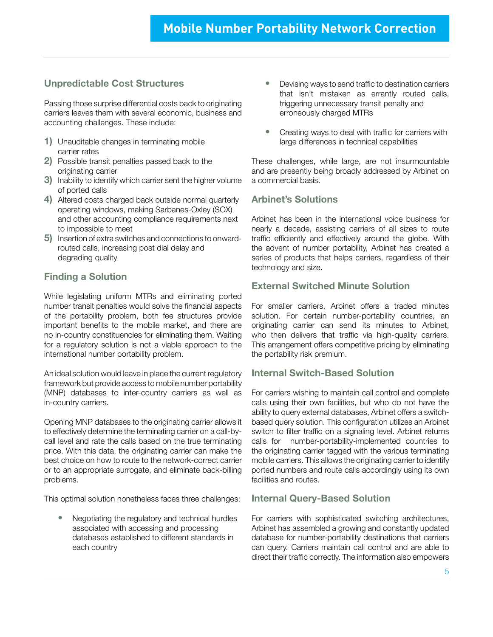# Unpredictable Cost Structures

Passing those surprise differential costs back to originating carriers leaves them with several economic, business and accounting challenges. These include:

- 1) Unauditable changes in terminating mobile carrier rates
- 2) Possible transit penalties passed back to the originating carrier
- 3) Inability to identify which carrier sent the higher volume of ported calls
- 4) Altered costs charged back outside normal quarterly operating windows, making Sarbanes-Oxley (SOX) and other accounting compliance requirements next to impossible to meet
- 5) Insertion of extra switches and connections to onwardrouted calls, increasing post dial delay and degrading quality

# Finding a Solution

While legislating uniform MTRs and eliminating ported number transit penalties would solve the financial aspects of the portability problem, both fee structures provide important benefits to the mobile market, and there are no in-country constituencies for eliminating them. Waiting for a regulatory solution is not a viable approach to the international number portability problem.

An ideal solution would leave in place the current regulatory framework but provide access to mobile number portability (MNP) databases to inter-country carriers as well as in-country carriers.

Opening MNP databases to the originating carrier allows it to effectively determine the terminating carrier on a call-bycall level and rate the calls based on the true terminating price. With this data, the originating carrier can make the best choice on how to route to the network-correct carrier or to an appropriate surrogate, and eliminate back-billing problems.

This optimal solution nonetheless faces three challenges:

 • Negotiating the regulatory and technical hurdles associated with accessing and processing databases established to different standards in each country

- Devising ways to send traffic to destination carriers that isn't mistaken as errantly routed calls, triggering unnecessary transit penalty and erroneously charged MTRs
- Creating ways to deal with traffic for carriers with large differences in technical capabilities

These challenges, while large, are not insurmountable and are presently being broadly addressed by Arbinet on a commercial basis.

## Arbinet's Solutions

Arbinet has been in the international voice business for nearly a decade, assisting carriers of all sizes to route traffic efficiently and effectively around the globe. With the advent of number portability, Arbinet has created a series of products that helps carriers, regardless of their technology and size.

# External Switched Minute Solution

For smaller carriers, Arbinet offers a traded minutes solution. For certain number-portability countries, an originating carrier can send its minutes to Arbinet, who then delivers that traffic via high-quality carriers. This arrangement offers competitive pricing by eliminating the portability risk premium.

## Internal Switch-Based Solution

For carriers wishing to maintain call control and complete calls using their own facilities, but who do not have the ability to query external databases, Arbinet offers a switchbased query solution. This configuration utilizes an Arbinet switch to filter traffic on a signaling level. Arbinet returns calls for number-portability-implemented countries to the originating carrier tagged with the various terminating mobile carriers. This allows the originating carrier to identify ported numbers and route calls accordingly using its own facilities and routes.

# Internal Query-Based Solution

For carriers with sophisticated switching architectures, Arbinet has assembled a growing and constantly updated database for number-portability destinations that carriers can query. Carriers maintain call control and are able to direct their traffic correctly. The information also empowers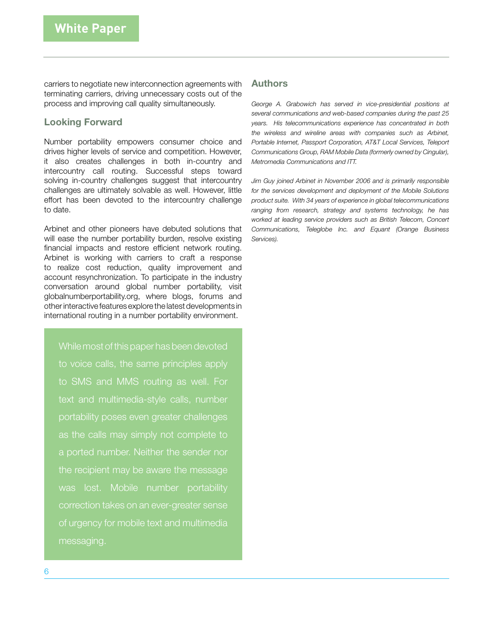carriers to negotiate new interconnection agreements with terminating carriers, driving unnecessary costs out of the process and improving call quality simultaneously.

## Looking Forward

Number portability empowers consumer choice and drives higher levels of service and competition. However, it also creates challenges in both in-country and intercountry call routing. Successful steps toward solving in-country challenges suggest that intercountry challenges are ultimately solvable as well. However, little effort has been devoted to the intercountry challenge to date.

Arbinet and other pioneers have debuted solutions that will ease the number portability burden, resolve existing financial impacts and restore efficient network routing. Arbinet is working with carriers to craft a response to realize cost reduction, quality improvement and account resynchronization. To participate in the industry conversation around global number portability, visit globalnumberportability.org, where blogs, forums and other interactive features explore the latest developments in international routing in a number portability environment.

While most of this paper has been devoted to voice calls, the same principles apply to SMS and MMS routing as well. For text and multimedia-style calls, number portability poses even greater challenges as the calls may simply not complete to a ported number. Neither the sender nor the recipient may be aware the message was lost. Mobile number portability correction takes on an ever-greater sense of urgency for mobile text and multimedia messaging.

## Authors

George A. Grabowich has served in vice-presidential positions at *several communications and web-based companies during the past 25 years. His telecommunications experience has concentrated in both the wireless and wireline areas with companies such as Arbinet, Portable Internet, Passport Corporation, AT&T Local Services, Teleport Communications Group, RAM Mobile Data (formerly owned by Cingular), Metromedia Communications and ITT.*

*Jim Guy joined Arbinet in November 2006 and is primarily responsible for the services development and deployment of the Mobile Solutions product suite. With 34 years of experience in global telecommunications ranging from research, strategy and systems technology, he has worked at leading service providers such as British Telecom, Concert Communications, Teleglobe Inc. and Equant (Orange Business Services).*